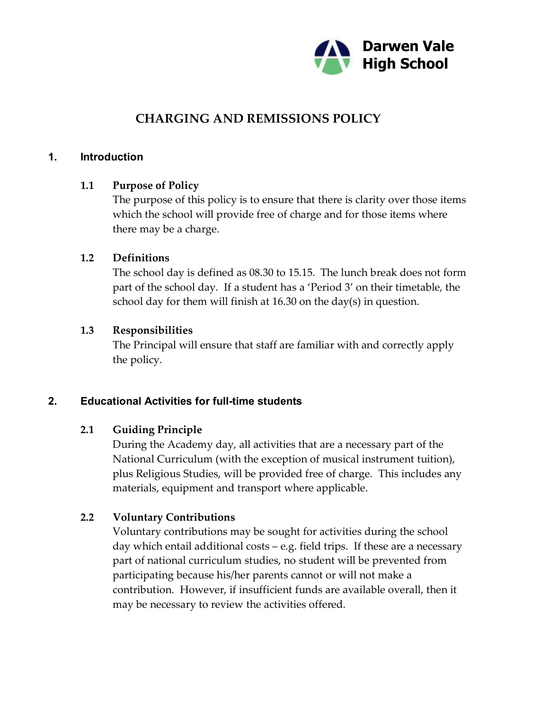

# **CHARGING AND REMISSIONS POLICY**

#### **1. Introduction**

#### **1.1 Purpose of Policy**

The purpose of this policy is to ensure that there is clarity over those items which the school will provide free of charge and for those items where there may be a charge.

#### **1.2 Definitions**

The school day is defined as 08.30 to 15.15. The lunch break does not form part of the school day. If a student has a 'Period 3' on their timetable, the school day for them will finish at 16.30 on the day(s) in question.

#### **1.3 Responsibilities**

The Principal will ensure that staff are familiar with and correctly apply the policy.

#### **2. Educational Activities for full-time students**

#### **2.1 Guiding Principle**

During the Academy day, all activities that are a necessary part of the National Curriculum (with the exception of musical instrument tuition), plus Religious Studies, will be provided free of charge. This includes any materials, equipment and transport where applicable.

#### **2.2 Voluntary Contributions**

Voluntary contributions may be sought for activities during the school day which entail additional costs – e.g. field trips. If these are a necessary part of national curriculum studies, no student will be prevented from participating because his/her parents cannot or will not make a contribution. However, if insufficient funds are available overall, then it may be necessary to review the activities offered.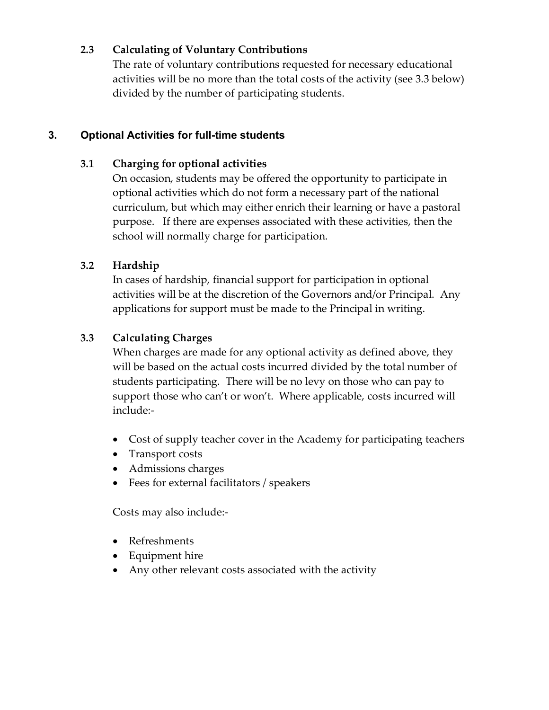### **2.3 Calculating of Voluntary Contributions**

The rate of voluntary contributions requested for necessary educational activities will be no more than the total costs of the activity (see 3.3 below) divided by the number of participating students.

### **3. Optional Activities for full-time students**

### **3.1 Charging for optional activities**

On occasion, students may be offered the opportunity to participate in optional activities which do not form a necessary part of the national curriculum, but which may either enrich their learning or have a pastoral purpose. If there are expenses associated with these activities, then the school will normally charge for participation.

# **3.2 Hardship**

In cases of hardship, financial support for participation in optional activities will be at the discretion of the Governors and/or Principal. Any applications for support must be made to the Principal in writing.

# **3.3 Calculating Charges**

When charges are made for any optional activity as defined above, they will be based on the actual costs incurred divided by the total number of students participating. There will be no levy on those who can pay to support those who can't or won't. Where applicable, costs incurred will include:-

- Cost of supply teacher cover in the Academy for participating teachers
- · Transport costs
- · Admissions charges
- · Fees for external facilitators / speakers

Costs may also include:-

- · Refreshments
- Equipment hire
- Any other relevant costs associated with the activity